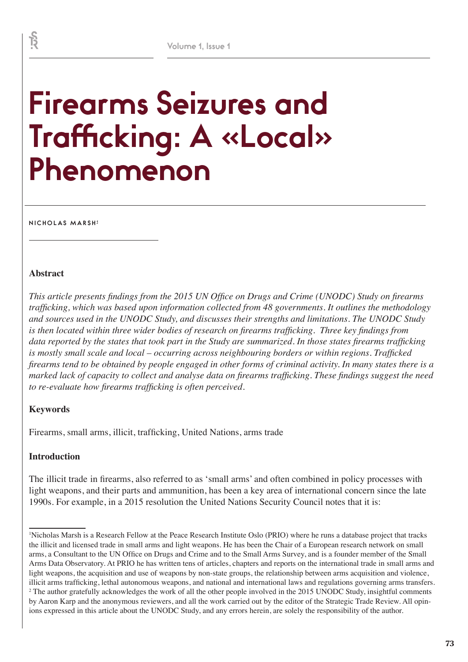# **Firearms Seizures and Trafficking: A «Local» Phenomenon**

**NICHOLAS MARSH <sup>1</sup>**

#### **Abstract**

*This article presents findings from the 2015 UN Office on Drugs and Crime (UNODC) Study on firearms trafficking, which was based upon information collected from 48 governments. It outlines the methodology and sources used in the UNODC Study, and discusses their strengths and limitations. The UNODC Study is then located within three wider bodies of research on firearms trafficking. Three key findings from data reported by the states that took part in the Study are summarized. In those states firearms trafficking is mostly small scale and local – occurring across neighbouring borders or within regions. Trafficked firearms tend to be obtained by people engaged in other forms of criminal activity. In many states there is a marked lack of capacity to collect and analyse data on firearms trafficking. These findings suggest the need to re-evaluate how firearms trafficking is often perceived.* 

## **Keywords**

Firearms, small arms, illicit, trafficking, United Nations, arms trade

## **Introduction**

The illicit trade in firearms, also referred to as 'small arms' and often combined in policy processes with light weapons, and their parts and ammunition, has been a key area of international concern since the late 1990s. For example, in a 2015 resolution the United Nations Security Council notes that it is:

<u>र्ह</u>

<sup>1</sup> Nicholas Marsh is a Research Fellow at the Peace Research Institute Oslo (PRIO) where he runs a database project that tracks the illicit and licensed trade in small arms and light weapons. He has been the Chair of a European research network on small arms, a Consultant to the UN Office on Drugs and Crime and to the Small Arms Survey, and is a founder member of the Small Arms Data Observatory. At PRIO he has written tens of articles, chapters and reports on the international trade in small arms and light weapons, the acquisition and use of weapons by non-state groups, the relationship between arms acquisition and violence, illicit arms trafficking, lethal autonomous weapons, and national and international laws and regulations governing arms transfers. <sup>2</sup> The author gratefully acknowledges the work of all the other people involved in the 2015 UNODC Study, insightful comments by Aaron Karp and the anonymous reviewers, and all the work carried out by the editor of the Strategic Trade Review. All opinions expressed in this article about the UNODC Study, and any errors herein, are solely the responsibility of the author.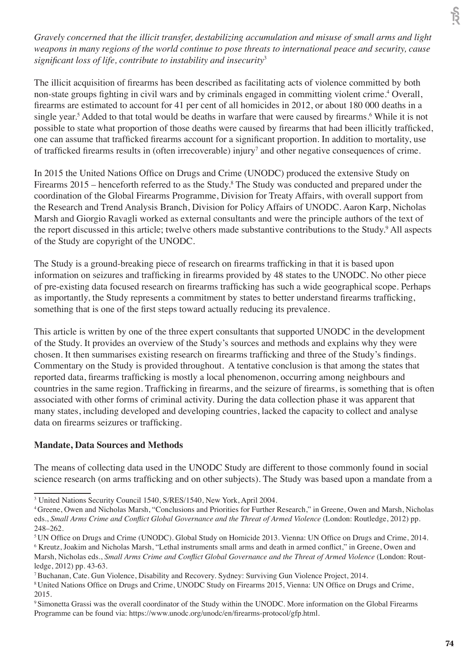*Gravely concerned that the illicit transfer, destabilizing accumulation and misuse of small arms and light weapons in many regions of the world continue to pose threats to international peace and security, cause significant loss of life, contribute to instability and insecurity*<sup>3</sup>

The illicit acquisition of firearms has been described as facilitating acts of violence committed by both non-state groups fighting in civil wars and by criminals engaged in committing violent crime.<sup>4</sup> Overall, firearms are estimated to account for 41 per cent of all homicides in 2012, or about 180 000 deaths in a single year.<sup>5</sup> Added to that total would be deaths in warfare that were caused by firearms.<sup>6</sup> While it is not possible to state what proportion of those deaths were caused by firearms that had been illicitly trafficked, one can assume that trafficked firearms account for a significant proportion. In addition to mortality, use of trafficked firearms results in (often irrecoverable) injury<sup>7</sup> and other negative consequences of crime.

In 2015 the United Nations Office on Drugs and Crime (UNODC) produced the extensive Study on Firearms 2015 – henceforth referred to as the Study.<sup>8</sup> The Study was conducted and prepared under the coordination of the Global Firearms Programme, Division for Treaty Affairs, with overall support from the Research and Trend Analysis Branch, Division for Policy Affairs of UNODC. Aaron Karp, Nicholas Marsh and Giorgio Ravagli worked as external consultants and were the principle authors of the text of the report discussed in this article; twelve others made substantive contributions to the Study. 9 All aspects of the Study are copyright of the UNODC.

The Study is a ground-breaking piece of research on firearms trafficking in that it is based upon information on seizures and trafficking in firearms provided by 48 states to the UNODC. No other piece of pre-existing data focused research on firearms trafficking has such a wide geographical scope. Perhaps as importantly, the Study represents a commitment by states to better understand firearms trafficking, something that is one of the first steps toward actually reducing its prevalence.

This article is written by one of the three expert consultants that supported UNODC in the development of the Study. It provides an overview of the Study's sources and methods and explains why they were chosen. It then summarises existing research on firearms trafficking and three of the Study's findings. Commentary on the Study is provided throughout. A tentative conclusion is that among the states that reported data, firearms trafficking is mostly a local phenomenon, occurring among neighbours and countries in the same region. Trafficking in firearms, and the seizure of firearms, is something that is often associated with other forms of criminal activity. During the data collection phase it was apparent that many states, including developed and developing countries, lacked the capacity to collect and analyse data on firearms seizures or trafficking.

## **Mandate, Data Sources and Methods**

The means of collecting data used in the UNODC Study are different to those commonly found in social science research (on arms trafficking and on other subjects). The Study was based upon a mandate from a

<sup>&</sup>lt;sup>3</sup> United Nations Security Council 1540, S/RES/1540, New York, April 2004.

<sup>4</sup>Greene, Owen and Nicholas Marsh, "Conclusions and Priorities for Further Research," in Greene, Owen and Marsh, Nicholas eds., *Small Arms Crime and Conflict Global Governance and the Threat of Armed Violence* (London: Routledge, 2012) pp. 248–262.

<sup>&</sup>lt;sup>5</sup> UN Office on Drugs and Crime (UNODC). Global Study on Homicide 2013. Vienna: UN Office on Drugs and Crime, 2014. <sup>6</sup> Kreutz, Joakim and Nicholas Marsh, "Lethal instruments small arms and death in armed conflict," in Greene, Owen and Marsh, Nicholas eds., *Small Arms Crime and Conflict Global Governance and the Threat of Armed Violence* (London: Routledge, 2012) pp. 43-63.

<sup>7</sup>Buchanan, Cate. Gun Violence, Disability and Recovery. Sydney: Surviving Gun Violence Project, 2014.

<sup>8</sup> United Nations Office on Drugs and Crime, UNODC Study on Firearms 2015, Vienna: UN Office on Drugs and Crime, 2015.

<sup>&</sup>lt;sup>9</sup> Simonetta Grassi was the overall coordinator of the Study within the UNODC. More information on the Global Firearms Programme can be found via: https://www.unodc.org/unodc/en/firearms-protocol/gfp.html.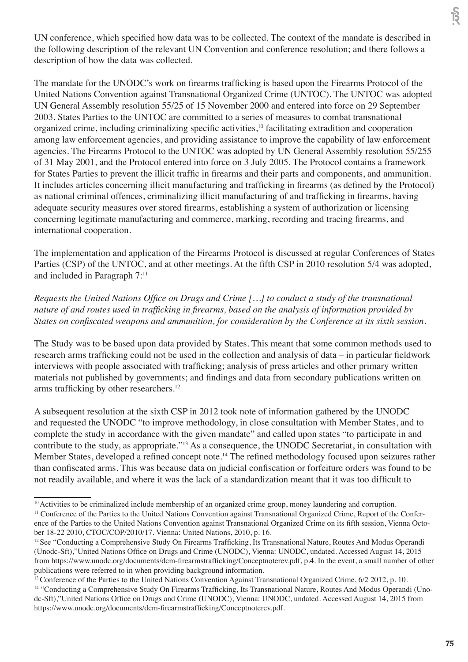UN conference, which specified how data was to be collected. The context of the mandate is described in the following description of the relevant UN Convention and conference resolution; and there follows a description of how the data was collected.

The mandate for the UNODC's work on firearms trafficking is based upon the Firearms Protocol of the United Nations Convention against Transnational Organized Crime (UNTOC). The UNTOC was adopted UN General Assembly resolution 55/25 of 15 November 2000 and entered into force on 29 September 2003. States Parties to the UNTOC are committed to a series of measures to combat transnational organized crime, including criminalizing specific activities,<sup>10</sup> facilitating extradition and cooperation among law enforcement agencies, and providing assistance to improve the capability of law enforcement agencies. The Firearms Protocol to the UNTOC was adopted by UN General Assembly resolution 55/255 of 31 May 2001, and the Protocol entered into force on 3 July 2005. The Protocol contains a framework for States Parties to prevent the illicit traffic in firearms and their parts and components, and ammunition. It includes articles concerning illicit manufacturing and trafficking in firearms (as defined by the Protocol) as national criminal offences, criminalizing illicit manufacturing of and trafficking in firearms, having adequate security measures over stored firearms, establishing a system of authorization or licensing concerning legitimate manufacturing and commerce, marking, recording and tracing firearms, and international cooperation.

The implementation and application of the Firearms Protocol is discussed at regular Conferences of States Parties (CSP) of the UNTOC, and at other meetings. At the fifth CSP in 2010 resolution 5/4 was adopted, and included in Paragraph 7:11

*Requests the United Nations Office on Drugs and Crime […] to conduct a study of the transnational nature of and routes used in trafficking in firearms, based on the analysis of information provided by States on confiscated weapons and ammunition, for consideration by the Conference at its sixth session.* 

The Study was to be based upon data provided by States. This meant that some common methods used to research arms trafficking could not be used in the collection and analysis of data – in particular fieldwork interviews with people associated with trafficking; analysis of press articles and other primary written materials not published by governments; and findings and data from secondary publications written on arms trafficking by other researchers.<sup>12</sup>

A subsequent resolution at the sixth CSP in 2012 took note of information gathered by the UNODC and requested the UNODC "to improve methodology, in close consultation with Member States, and to complete the study in accordance with the given mandate" and called upon states "to participate in and contribute to the study, as appropriate."<sup>13</sup> As a consequence, the UNODC Secretariat, in consultation with Member States, developed a refined concept note.<sup>14</sup> The refined methodology focused upon seizures rather than confiscated arms. This was because data on judicial confiscation or forfeiture orders was found to be not readily available, and where it was the lack of a standardization meant that it was too difficult to

<sup>&</sup>lt;sup>10</sup> Activities to be criminalized include membership of an organized crime group, money laundering and corruption. <sup>11</sup> Conference of the Parties to the United Nations Convention against Transnational Organized Crime, Report of the Conference of the Parties to the United Nations Convention against Transnational Organized Crime on its fifth session, Vienna October 18-22 2010, CTOC/COP/2010/17. Vienna: United Nations, 2010, p. 16.

<sup>&</sup>lt;sup>12</sup> See "Conducting a Comprehensive Study On Firearms Trafficking, Its Transnational Nature, Routes And Modus Operandi (Unodc-Sft),"United Nations Office on Drugs and Crime (UNODC), Vienna: UNODC, undated. Accessed August 14, 2015 from https://www.unodc.org/documents/dcm-firearmstrafficking/Conceptnoterev.pdf, p.4. In the event, a small number of other publications were referred to in when providing background information.

<sup>&</sup>lt;sup>13</sup> Conference of the Parties to the United Nations Convention Against Transnational Organized Crime, 6/2 2012, p. 10.

<sup>&</sup>lt;sup>14</sup> "Conducting a Comprehensive Study On Firearms Trafficking, Its Transnational Nature, Routes And Modus Operandi (Unodc-Sft),"United Nations Office on Drugs and Crime (UNODC), Vienna: UNODC, undated. Accessed August 14, 2015 from https://www.unodc.org/documents/dcm-firearmstrafficking/Conceptnoterev.pdf.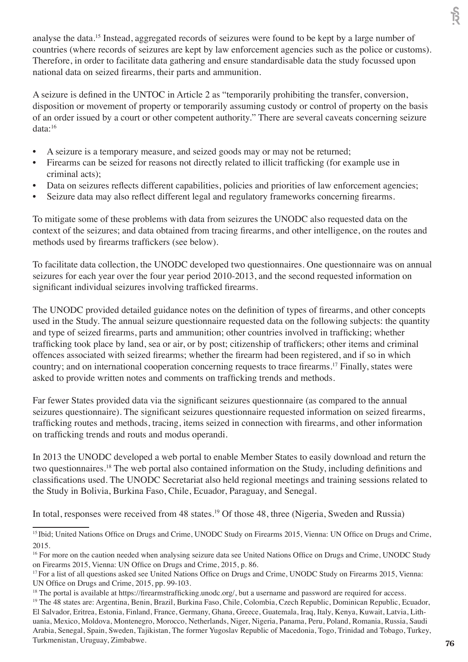analyse the data.15 Instead, aggregated records of seizures were found to be kept by a large number of countries (where records of seizures are kept by law enforcement agencies such as the police or customs). Therefore, in order to facilitate data gathering and ensure standardisable data the study focussed upon national data on seized firearms, their parts and ammunition.

A seizure is defined in the UNTOC in Article 2 as "temporarily prohibiting the transfer, conversion, disposition or movement of property or temporarily assuming custody or control of property on the basis of an order issued by a court or other competent authority." There are several caveats concerning seizure data:<sup>16</sup>

- A seizure is a temporary measure, and seized goods may or may not be returned;
- Firearms can be seized for reasons not directly related to illicit trafficking (for example use in criminal acts);
- Data on seizures reflects different capabilities, policies and priorities of law enforcement agencies;
- Seizure data may also reflect different legal and regulatory frameworks concerning firearms.

To mitigate some of these problems with data from seizures the UNODC also requested data on the context of the seizures; and data obtained from tracing firearms, and other intelligence, on the routes and methods used by firearms traffickers (see below).

To facilitate data collection, the UNODC developed two questionnaires. One questionnaire was on annual seizures for each year over the four year period 2010-2013, and the second requested information on significant individual seizures involving trafficked firearms.

The UNODC provided detailed guidance notes on the definition of types of firearms, and other concepts used in the Study. The annual seizure questionnaire requested data on the following subjects: the quantity and type of seized firearms, parts and ammunition; other countries involved in trafficking; whether trafficking took place by land, sea or air, or by post; citizenship of traffickers; other items and criminal offences associated with seized firearms; whether the firearm had been registered, and if so in which country; and on international cooperation concerning requests to trace firearms.<sup>17</sup> Finally, states were asked to provide written notes and comments on trafficking trends and methods.

Far fewer States provided data via the significant seizures questionnaire (as compared to the annual seizures questionnaire). The significant seizures questionnaire requested information on seized firearms, trafficking routes and methods, tracing, items seized in connection with firearms, and other information on trafficking trends and routs and modus operandi.

In 2013 the UNODC developed a web portal to enable Member States to easily download and return the two questionnaires.18 The web portal also contained information on the Study, including definitions and classifications used. The UNODC Secretariat also held regional meetings and training sessions related to the Study in Bolivia, Burkina Faso, Chile, Ecuador, Paraguay, and Senegal.

In total, responses were received from 48 states.<sup>19</sup> Of those 48, three (Nigeria, Sweden and Russia)

<sup>&</sup>lt;sup>15</sup> Ibid; United Nations Office on Drugs and Crime, UNODC Study on Firearms 2015, Vienna: UN Office on Drugs and Crime, 2015.

<sup>&</sup>lt;sup>16</sup> For more on the caution needed when analysing seizure data see United Nations Office on Drugs and Crime, UNODC Study on Firearms 2015, Vienna: UN Office on Drugs and Crime, 2015, p. 86.

<sup>&</sup>lt;sup>17</sup> For a list of all questions asked see United Nations Office on Drugs and Crime, UNODC Study on Firearms 2015, Vienna: UN Office on Drugs and Crime, 2015, pp. 99-103.

<sup>&</sup>lt;sup>18</sup> The portal is available at https://firearmstrafficking.unodc.org/, but a username and password are required for access. <sup>19</sup> The 48 states are: Argentina, Benin, Brazil, Burkina Faso, Chile, Colombia, Czech Republic, Dominican Republic, Ecuador, El Salvador, Eritrea, Estonia, Finland, France, Germany, Ghana, Greece, Guatemala, Iraq, Italy, Kenya, Kuwait, Latvia, Lithuania, Mexico, Moldova, Montenegro, Morocco, Netherlands, Niger, Nigeria, Panama, Peru, Poland, Romania, Russia, Saudi Arabia, Senegal, Spain, Sweden, Tajikistan, The former Yugoslav Republic of Macedonia, Togo, Trinidad and Tobago, Turkey, Turkmenistan, Uruguay, Zimbabwe.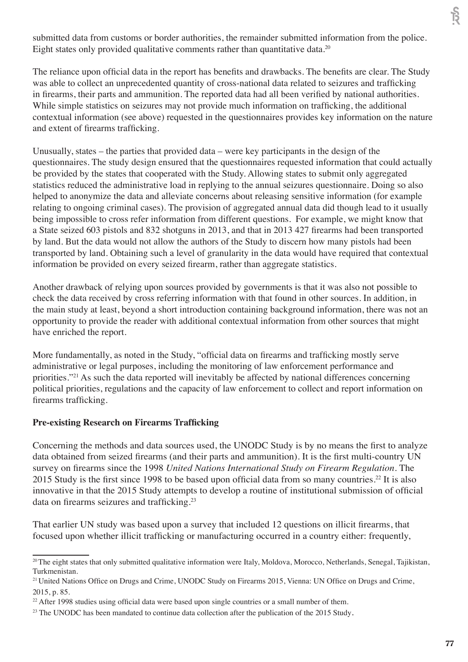submitted data from customs or border authorities, the remainder submitted information from the police. Eight states only provided qualitative comments rather than quantitative data.<sup>20</sup>

The reliance upon official data in the report has benefits and drawbacks. The benefits are clear. The Study was able to collect an unprecedented quantity of cross-national data related to seizures and trafficking in firearms, their parts and ammunition. The reported data had all been verified by national authorities. While simple statistics on seizures may not provide much information on trafficking, the additional contextual information (see above) requested in the questionnaires provides key information on the nature and extent of firearms trafficking.

Unusually, states – the parties that provided data – were key participants in the design of the questionnaires. The study design ensured that the questionnaires requested information that could actually be provided by the states that cooperated with the Study. Allowing states to submit only aggregated statistics reduced the administrative load in replying to the annual seizures questionnaire. Doing so also helped to anonymize the data and alleviate concerns about releasing sensitive information (for example relating to ongoing criminal cases). The provision of aggregated annual data did though lead to it usually being impossible to cross refer information from different questions. For example, we might know that a State seized 603 pistols and 832 shotguns in 2013, and that in 2013 427 firearms had been transported by land. But the data would not allow the authors of the Study to discern how many pistols had been transported by land. Obtaining such a level of granularity in the data would have required that contextual information be provided on every seized firearm, rather than aggregate statistics.

Another drawback of relying upon sources provided by governments is that it was also not possible to check the data received by cross referring information with that found in other sources. In addition, in the main study at least, beyond a short introduction containing background information, there was not an opportunity to provide the reader with additional contextual information from other sources that might have enriched the report.

More fundamentally, as noted in the Study, "official data on firearms and trafficking mostly serve administrative or legal purposes, including the monitoring of law enforcement performance and priorities."<sup>21</sup> As such the data reported will inevitably be affected by national differences concerning political priorities, regulations and the capacity of law enforcement to collect and report information on firearms trafficking.

## **Pre-existing Research on Firearms Trafficking**

Concerning the methods and data sources used, the UNODC Study is by no means the first to analyze data obtained from seized firearms (and their parts and ammunition). It is the first multi-country UN survey on firearms since the 1998 *United Nations International Study on Firearm Regulation.* The 2015 Study is the first since 1998 to be based upon official data from so many countries.<sup>22</sup> It is also innovative in that the 2015 Study attempts to develop a routine of institutional submission of official data on firearms seizures and trafficking.23

That earlier UN study was based upon a survey that included 12 questions on illicit firearms, that focused upon whether illicit trafficking or manufacturing occurred in a country either: frequently,

<sup>&</sup>lt;sup>20</sup>The eight states that only submitted qualitative information were Italy, Moldova, Morocco, Netherlands, Senegal, Tajikistan, Turkmenistan.

<sup>&</sup>lt;sup>21</sup> United Nations Office on Drugs and Crime, UNODC Study on Firearms 2015, Vienna: UN Office on Drugs and Crime, 2015, p. 85.

<sup>&</sup>lt;sup>22</sup> After 1998 studies using official data were based upon single countries or a small number of them.

<sup>&</sup>lt;sup>23</sup> The UNODC has been mandated to continue data collection after the publication of the 2015 Study.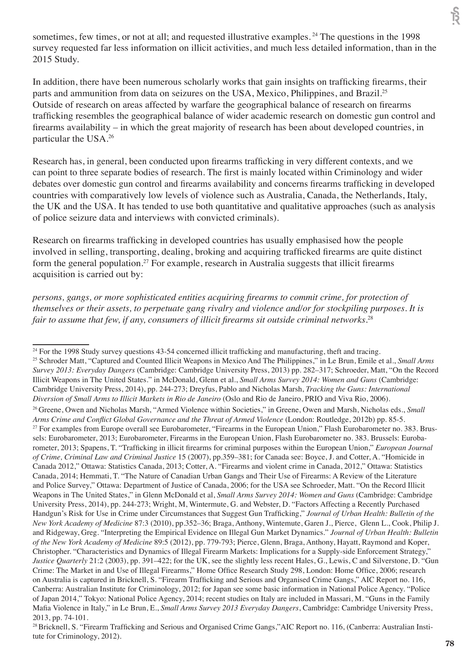sometimes, few times, or not at all; and requested illustrative examples.<sup>24</sup> The questions in the 1998 survey requested far less information on illicit activities, and much less detailed information, than in the 2015 Study.

In addition, there have been numerous scholarly works that gain insights on trafficking firearms, their parts and ammunition from data on seizures on the USA, Mexico, Philippines, and Brazil.25 Outside of research on areas affected by warfare the geographical balance of research on firearms trafficking resembles the geographical balance of wider academic research on domestic gun control and firearms availability – in which the great majority of research has been about developed countries, in particular the USA.<sup>26</sup>

Research has, in general, been conducted upon firearms trafficking in very different contexts, and we can point to three separate bodies of research. The first is mainly located within Criminology and wider debates over domestic gun control and firearms availability and concerns firearms trafficking in developed countries with comparatively low levels of violence such as Australia, Canada, the Netherlands, Italy, the UK and the USA. It has tended to use both quantitative and qualitative approaches (such as analysis of police seizure data and interviews with convicted criminals).

Research on firearms trafficking in developed countries has usually emphasised how the people involved in selling, transporting, dealing, broking and acquiring trafficked firearms are quite distinct form the general population.<sup>27</sup> For example, research in Australia suggests that illicit firearms acquisition is carried out by:

*persons, gangs, or more sophisticated entities acquiring firearms to commit crime, for protection of themselves or their assets, to perpetuate gang rivalry and violence and/or for stockpiling purposes. It is fair to assume that few, if any, consumers of illicit firearms sit outside criminal networks.*<sup>28</sup>

<sup>&</sup>lt;sup>24</sup> For the 1998 Study survey questions 43-54 concerned illicit trafficking and manufacturing, theft and tracing.

<sup>25</sup> Schroder Matt, "Captured and Counted Illicit Weapons in Mexico And The Philippines," in Le Brun, Emile et al., *Small Arms Survey 2013: Everyday Dangers* (Cambridge: Cambridge University Press, 2013) pp. 282–317; Schroeder, Matt, "On the Record Illicit Weapons in The United States." in McDonald, Glenn et al., *Small Arms Survey 2014: Women and Guns* (Cambridge: Cambridge University Press, 2014), pp. 244-273; Dreyfus, Pablo and Nicholas Marsh, *Tracking the Guns: International Diversion of Small Arms to Illicit Markets in Rio de Janeiro* (Oslo and Rio de Janeiro, PRIO and Viva Rio, 2006).

<sup>26</sup> Greene, Owen and Nicholas Marsh, "Armed Violence within Societies," in Greene, Owen and Marsh, Nicholas eds., *Small Arms Crime and Conflict Global Governance and the Threat of Armed Violence* (London: Routledge, 2012b) pp. 85-5. <sup>27</sup> For examples from Europe overall see Eurobarometer, "Firearms in the European Union," Flash Eurobarometer no. 383. Brussels: Eurobarometer, 2013; Eurobarometer, Firearms in the European Union, Flash Eurobarometer no. 383. Brussels: Eurobarometer, 2013; Spapens, T. "Trafficking in illicit firearms for criminal purposes within the European Union," *European Journal of Crime, Criminal Law and Criminal Justice* 15 (2007), pp.359–381; for Canada see: Boyce, J. and Cotter, A. "Homicide in Canada 2012," Ottawa: Statistics Canada, 2013; Cotter, A. "Firearms and violent crime in Canada, 2012," Ottawa: Statistics Canada, 2014; Hemmati, T. "The Nature of Canadian Urban Gangs and Their Use of Firearms: A Review of the Literature and Police Survey," Ottawa: Department of Justice of Canada, 2006; for the USA see Schroeder, Matt. "On the Record Illicit Weapons in The United States," in Glenn McDonald et al, *Small Arms Survey 2014: Women and Guns* (Cambridge: Cambridge University Press, 2014), pp. 244-273; Wright, M, Wintermute, G. and Webster, D. "Factors Affecting a Recently Purchased Handgun's Risk for Use in Crime under Circumstances that Suggest Gun Trafficking," *Journal of Urban Health: Bulletin of the New York Academy of Medicine* 87:3 (2010), pp.352–36; Braga, Anthony, Wintemute, Garen J., Pierce, Glenn L., Cook, Philip J. and Ridgeway, Greg. "Interpreting the Empirical Evidence on Illegal Gun Market Dynamics." *Journal of Urban Health: Bulletin of the New York Academy of Medicine* 89:5 (2012), pp. 779-793; Pierce, Glenn, Braga, Anthony, Hayatt, Raymond and Koper, Christopher. "Characteristics and Dynamics of Illegal Firearm Markets: Implications for a Supply-side Enforcement Strategy," *Justice Quarterly* 21:2 (2003), pp. 391–422; for the UK, see the slightly less recent Hales, G., Lewis, C and Silverstone, D. "Gun Crime: The Market in and Use of Illegal Firearms," Home Office Research Study 298, London: Home Office, 2006; research on Australia is captured in Bricknell, S. "Firearm Trafficking and Serious and Organised Crime Gangs," AIC Report no. 116, Canberra: Australian Institute for Criminology, 2012; for Japan see some basic information in National Police Agency. "Police of Japan 2014," Tokyo: National Police Agency, 2014; recent studies on Italy are included in Massari, M. "Guns in the Family Mafia Violence in Italy," in Le Brun, E., *Small Arms Survey 2013 Everyday Dangers*, Cambridge: Cambridge University Press, 2013, pp. 74-101.

<sup>&</sup>lt;sup>28</sup> Bricknell, S. "Firearm Trafficking and Serious and Organised Crime Gangs,"AIC Report no. 116, (Canberra: Australian Institute for Criminology, 2012).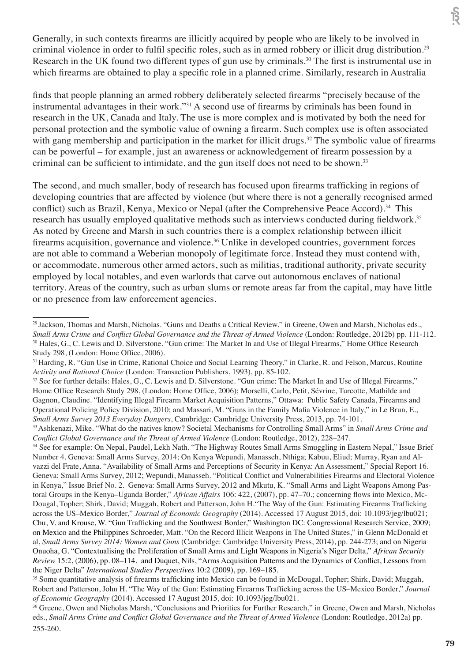Generally, in such contexts firearms are illicitly acquired by people who are likely to be involved in criminal violence in order to fulfil specific roles, such as in armed robbery or illicit drug distribution.<sup>29</sup> Research in the UK found two different types of gun use by criminals.<sup>30</sup> The first is instrumental use in which firearms are obtained to play a specific role in a planned crime. Similarly, research in Australia

finds that people planning an armed robbery deliberately selected firearms "precisely because of the instrumental advantages in their work."31 A second use of firearms by criminals has been found in research in the UK, Canada and Italy. The use is more complex and is motivated by both the need for personal protection and the symbolic value of owning a firearm. Such complex use is often associated with gang membership and participation in the market for illicit drugs.<sup>32</sup> The symbolic value of firearms can be powerful – for example, just an awareness or acknowledgement of firearm possession by a criminal can be sufficient to intimidate, and the gun itself does not need to be shown.<sup>33</sup>

The second, and much smaller, body of research has focused upon firearms trafficking in regions of developing countries that are affected by violence (but where there is not a generally recognised armed conflict) such as Brazil, Kenya, Mexico or Nepal (after the Comprehensive Peace Accord).<sup>34</sup> This research has usually employed qualitative methods such as interviews conducted during fieldwork.<sup>35</sup> As noted by Greene and Marsh in such countries there is a complex relationship between illicit firearms acquisition, governance and violence.<sup>36</sup> Unlike in developed countries, government forces are not able to command a Weberian monopoly of legitimate force. Instead they must contend with, or accommodate, numerous other armed actors, such as militias, traditional authority, private security employed by local notables, and even warlords that carve out autonomous enclaves of national territory. Areas of the country, such as urban slums or remote areas far from the capital, may have little or no presence from law enforcement agencies.

<sup>29</sup>Jackson, Thomas and Marsh, Nicholas. "Guns and Deaths a Critical Review." in Greene, Owen and Marsh, Nicholas eds., *Small Arms Crime and Conflict Global Governance and the Threat of Armed Violence* (London: Routledge, 2012b) pp. 111-112. <sup>30</sup> Hales, G., C. Lewis and D. Silverstone. "Gun crime: The Market In and Use of Illegal Firearms," Home Office Research Study 298, (London: Home Office, 2006).

<sup>&</sup>lt;sup>31</sup> Harding, R. "Gun Use in Crime, Rational Choice and Social Learning Theory." in Clarke, R. and Felson, Marcus, Routine *Activity and Rational Choice* (London: Transaction Publishers, 1993), pp. 85-102.

<sup>&</sup>lt;sup>32</sup> See for further details: Hales, G., C. Lewis and D. Silverstone. "Gun crime: The Market In and Use of Illegal Firearms," Home Office Research Study 298, (London: Home Office, 2006); Morselli, Carlo, Petit, Sévrine, Turcotte, Mathilde and Gagnon, Claudine. "Identifying Illegal Firearm Market Acquisition Patterns," Ottawa: Public Safety Canada, Firearms and Operational Policing Policy Division, 2010; and Massari, M. "Guns in the Family Mafia Violence in Italy," in Le Brun, E., *Small Arms Survey 2013 Everyday Dangers*, Cambridge: Cambridge University Press, 2013, pp. 74-101.

<sup>33</sup>Ashkenazi, Mike. "What do the natives know? Societal Mechanisms for Controlling Small Arms" in *Small Arms Crime and Conflict Global Governance and the Threat of Armed Violence* (London: Routledge, 2012), 228–247.

<sup>&</sup>lt;sup>34</sup> See for example: On Nepal, Paudel, Lekh Nath. "The Highway Routes Small Arms Smuggling in Eastern Nepal," Issue Brief Number 4. Geneva: Small Arms Survey, 2014; On Kenya Wepundi, Manasseh, Nthiga; Kabuu, Eliud; Murray, Ryan and Alvazzi del Frate, Anna. "Availability of Small Arms and Perceptions of Security in Kenya: An Assessment," Special Report 16. Geneva: Small Arms Survey, 2012; Wepundi, Manasseh. "Political Conflict and Vulnerabilities Firearms and Electoral Violence in Kenya," Issue Brief No. 2. Geneva: Small Arms Survey, 2012 and Mkutu, K. "Small Arms and Light Weapons Among Pastoral Groups in the Kenya–Uganda Border," *African Affairs* 106: 422, (2007), pp. 47–70.; concerning flows into Mexico, Mc-Dougal, Topher; Shirk, David; Muggah, Robert and Patterson, John H."The Way of the Gun: Estimating Firearms Trafficking across the US–Mexico Border," *Journal of Economic Geography* (2014). Accessed 17 August 2015, doi: 10.1093/jeg/lbu021; Chu, V. and Krouse, W. "Gun Trafficking and the Southwest Border," Washington DC: Congressional Research Service, 2009; on Mexico and the Philippines Schroeder, Matt. "On the Record Illicit Weapons in The United States," in Glenn McDonald et al, *Small Arms Survey 2014: Women and Guns* (Cambridge: Cambridge University Press, 2014), pp. 244-273; and on Nigeria Onuoha, G. "Contextualising the Proliferation of Small Arms and Light Weapons in Nigeria's Niger Delta," *African Security Review* 15:2, (2006), pp. 08–114. and Duquet, Nils, "Arms Acquisition Patterns and the Dynamics of Conflict, Lessons from the Niger Delta" *International Studies Perspectives* 10:2 (2009), pp. 169–185.

<sup>35</sup> Some quantitative analysis of firearms trafficking into Mexico can be found in McDougal, Topher; Shirk, David; Muggah, Robert and Patterson, John H. "The Way of the Gun: Estimating Firearms Trafficking across the US–Mexico Border," *Journal of Economic Geography* (2014). Accessed 17 August 2015, doi: 10.1093/jeg/lbu021.

<sup>36</sup> Greene, Owen and Nicholas Marsh, "Conclusions and Priorities for Further Research," in Greene, Owen and Marsh, Nicholas eds., *Small Arms Crime and Conflict Global Governance and the Threat of Armed Violence* (London: Routledge, 2012a) pp. 255-260.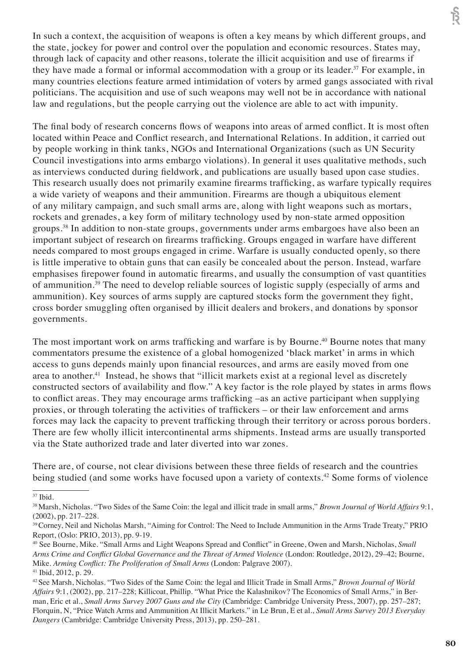In such a context, the acquisition of weapons is often a key means by which different groups, and the state, jockey for power and control over the population and economic resources. States may, through lack of capacity and other reasons, tolerate the illicit acquisition and use of firearms if they have made a formal or informal accommodation with a group or its leader.<sup>37</sup> For example, in many countries elections feature armed intimidation of voters by armed gangs associated with rival politicians. The acquisition and use of such weapons may well not be in accordance with national law and regulations, but the people carrying out the violence are able to act with impunity.

The final body of research concerns flows of weapons into areas of armed conflict. It is most often located within Peace and Conflict research, and International Relations. In addition, it carried out by people working in think tanks, NGOs and International Organizations (such as UN Security Council investigations into arms embargo violations). In general it uses qualitative methods, such as interviews conducted during fieldwork, and publications are usually based upon case studies. This research usually does not primarily examine firearms trafficking, as warfare typically requires a wide variety of weapons and their ammunition. Firearms are though a ubiquitous element of any military campaign, and such small arms are, along with light weapons such as mortars, rockets and grenades, a key form of military technology used by non-state armed opposition groups.38 In addition to non-state groups, governments under arms embargoes have also been an important subject of research on firearms trafficking. Groups engaged in warfare have different needs compared to most groups engaged in crime. Warfare is usually conducted openly, so there is little imperative to obtain guns that can easily be concealed about the person. Instead, warfare emphasises firepower found in automatic firearms, and usually the consumption of vast quantities of ammunition.39 The need to develop reliable sources of logistic supply (especially of arms and ammunition). Key sources of arms supply are captured stocks form the government they fight, cross border smuggling often organised by illicit dealers and brokers, and donations by sponsor governments.

The most important work on arms trafficking and warfare is by Bourne.<sup>40</sup> Bourne notes that many commentators presume the existence of a global homogenized 'black market' in arms in which access to guns depends mainly upon financial resources, and arms are easily moved from one area to another.<sup>41</sup> Instead, he shows that "illicit markets exist at a regional level as discretely constructed sectors of availability and flow." A key factor is the role played by states in arms flows to conflict areas. They may encourage arms trafficking –as an active participant when supplying proxies, or through tolerating the activities of traffickers – or their law enforcement and arms forces may lack the capacity to prevent trafficking through their territory or across porous borders. There are few wholly illicit intercontinental arms shipments. Instead arms are usually transported via the State authorized trade and later diverted into war zones.

There are, of course, not clear divisions between these three fields of research and the countries being studied (and some works have focused upon a variety of contexts.<sup>42</sup> Some forms of violence टि

 $37$  Ibid.

<sup>38</sup> Marsh, Nicholas. "Two Sides of the Same Coin: the legal and illicit trade in small arms," *Brown Journal of World Affairs* 9:1, (2002), pp. 217–228.

<sup>39</sup>Corney, Neil and Nicholas Marsh, "Aiming for Control: The Need to Include Ammunition in the Arms Trade Treaty," PRIO Report, (Oslo: PRIO, 2013), pp. 9-19.

<sup>40</sup> See Bourne, Mike. "Small Arms and Light Weapons Spread and Conflict" in Greene, Owen and Marsh, Nicholas, *Small Arms Crime and Conflict Global Governance and the Threat of Armed Violence* (London: Routledge, 2012), 29–42; Bourne, Mike. *Arming Conflict: The Proliferation of Small Arms* (London: Palgrave 2007). <sup>41</sup> Ibid, 2012, p. 29.

<sup>42</sup>See Marsh, Nicholas. "Two Sides of the Same Coin: the legal and Illicit Trade in Small Arms," *Brown Journal of World Affairs* 9:1, (2002), pp. 217–228; Killicoat, Phillip. "What Price the Kalashnikov? The Economics of Small Arms," in Berman, Eric et al., *Small Arms Survey 2007 Guns and the City* (Cambridge: Cambridge University Press, 2007), pp. 257–287; Florquin, N, "Price Watch Arms and Ammunition At Illicit Markets." in Le Brun, E et al., *Small Arms Survey 2013 Everyday Dangers* (Cambridge: Cambridge University Press, 2013), pp. 250–281.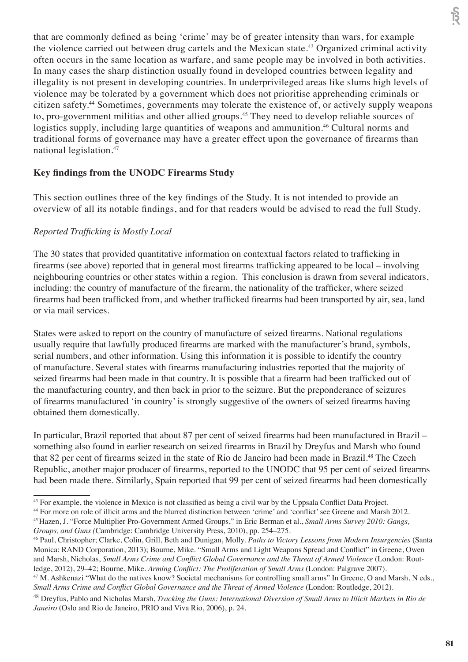that are commonly defined as being 'crime' may be of greater intensity than wars, for example the violence carried out between drug cartels and the Mexican state.<sup>43</sup> Organized criminal activity often occurs in the same location as warfare, and same people may be involved in both activities. In many cases the sharp distinction usually found in developed countries between legality and illegality is not present in developing countries. In underprivileged areas like slums high levels of violence may be tolerated by a government which does not prioritise apprehending criminals or citizen safety.44 Sometimes, governments may tolerate the existence of, or actively supply weapons to, pro-government militias and other allied groups.<sup>45</sup> They need to develop reliable sources of logistics supply, including large quantities of weapons and ammunition.<sup>46</sup> Cultural norms and traditional forms of governance may have a greater effect upon the governance of firearms than national legislation.<sup>47</sup>

## **Key findings from the UNODC Firearms Study**

This section outlines three of the key findings of the Study. It is not intended to provide an overview of all its notable findings, and for that readers would be advised to read the full Study.

## *Reported Trafficking is Mostly Local*

The 30 states that provided quantitative information on contextual factors related to trafficking in firearms (see above) reported that in general most firearms trafficking appeared to be local – involving neighbouring countries or other states within a region. This conclusion is drawn from several indicators, including: the country of manufacture of the firearm, the nationality of the trafficker, where seized firearms had been trafficked from, and whether trafficked firearms had been transported by air, sea, land or via mail services.

States were asked to report on the country of manufacture of seized firearms. National regulations usually require that lawfully produced firearms are marked with the manufacturer's brand, symbols, serial numbers, and other information. Using this information it is possible to identify the country of manufacture. Several states with firearms manufacturing industries reported that the majority of seized firearms had been made in that country. It is possible that a firearm had been trafficked out of the manufacturing country, and then back in prior to the seizure. But the preponderance of seizures of firearms manufactured 'in country' is strongly suggestive of the owners of seized firearms having obtained them domestically.

In particular, Brazil reported that about 87 per cent of seized firearms had been manufactured in Brazil – something also found in earlier research on seized firearms in Brazil by Dreyfus and Marsh who found that 82 per cent of firearms seized in the state of Rio de Janeiro had been made in Brazil.<sup>48</sup> The Czech Republic, another major producer of firearms, reported to the UNODC that 95 per cent of seized firearms had been made there. Similarly, Spain reported that 99 per cent of seized firearms had been domestically

<sup>&</sup>lt;sup>43</sup> For example, the violence in Mexico is not classified as being a civil war by the Uppsala Conflict Data Project.<br><sup>44</sup> For more on role of illicit arms and the blurred distinction between 'crime' and 'conflict' see Gre

<sup>&</sup>lt;sup>45</sup> Hazen, J. "Force Multiplier Pro-Government Armed Groups," in Eric Berman et al., Small Arms Survey 2010: Gangs,

*Groups, and Guns (*Cambridge: Cambridge University Press, 2010), pp. 254–275.

<sup>46</sup> Paul, Christopher; Clarke, Colin, Grill, Beth and Dunigan, Molly. *Paths to Victory Lessons from Modern Insurgencies* (Santa Monica: RAND Corporation, 2013); Bourne, Mike. "Small Arms and Light Weapons Spread and Conflict" in Greene, Owen and Marsh, Nicholas, *Small Arms Crime and Conflict Global Governance and the Threat of Armed Violence* (London: Routledge, 2012), 29–42; Bourne, Mike. *Arming Conflict: The Proliferation of Small Arms* (London: Palgrave 2007).

<sup>47</sup> M. Ashkenazi "What do the natives know? Societal mechanisms for controlling small arms" In Greene, O and Marsh, N eds., *Small Arms Crime and Conflict Global Governance and the Threat of Armed Violence* (London: Routledge, 2012).

<sup>48</sup> Dreyfus, Pablo and Nicholas Marsh, *Tracking the Guns: International Diversion of Small Arms to Illicit Markets in Rio de Janeiro* (Oslo and Rio de Janeiro, PRIO and Viva Rio, 2006), p. 24.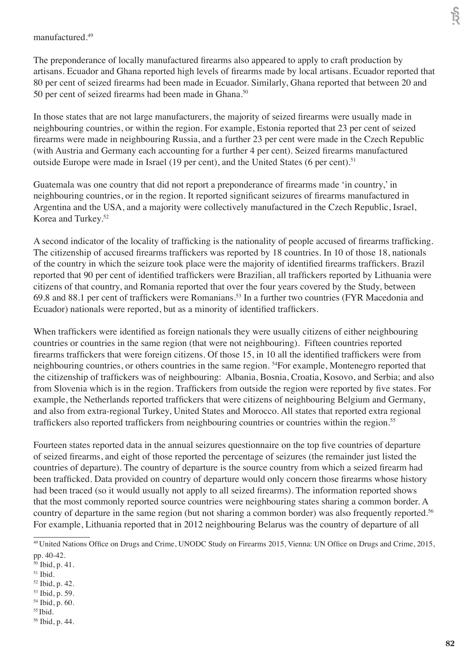#### manufactured.<sup>49</sup>

The preponderance of locally manufactured firearms also appeared to apply to craft production by artisans. Ecuador and Ghana reported high levels of firearms made by local artisans. Ecuador reported that 80 per cent of seized firearms had been made in Ecuador. Similarly, Ghana reported that between 20 and 50 per cent of seized firearms had been made in Ghana.<sup>50</sup>

In those states that are not large manufacturers, the majority of seized firearms were usually made in neighbouring countries, or within the region. For example, Estonia reported that 23 per cent of seized firearms were made in neighbouring Russia, and a further 23 per cent were made in the Czech Republic (with Austria and Germany each accounting for a further 4 per cent). Seized firearms manufactured outside Europe were made in Israel (19 per cent), and the United States (6 per cent).<sup>51</sup>

Guatemala was one country that did not report a preponderance of firearms made 'in country,' in neighbouring countries, or in the region. It reported significant seizures of firearms manufactured in Argentina and the USA, and a majority were collectively manufactured in the Czech Republic, Israel, Korea and Turkey.52

A second indicator of the locality of trafficking is the nationality of people accused of firearms trafficking. The citizenship of accused firearms traffickers was reported by 18 countries. In 10 of those 18, nationals of the country in which the seizure took place were the majority of identified firearms traffickers. Brazil reported that 90 per cent of identified traffickers were Brazilian, all traffickers reported by Lithuania were citizens of that country, and Romania reported that over the four years covered by the Study, between 69.8 and 88.1 per cent of traffickers were Romanians.53 In a further two countries (FYR Macedonia and Ecuador) nationals were reported, but as a minority of identified traffickers.

When traffickers were identified as foreign nationals they were usually citizens of either neighbouring countries or countries in the same region (that were not neighbouring). Fifteen countries reported firearms traffickers that were foreign citizens. Of those 15, in 10 all the identified traffickers were from neighbouring countries, or others countries in the same region. 54For example, Montenegro reported that the citizenship of traffickers was of neighbouring: Albania, Bosnia, Croatia, Kosovo, and Serbia; and also from Slovenia which is in the region. Traffickers from outside the region were reported by five states. For example, the Netherlands reported traffickers that were citizens of neighbouring Belgium and Germany, and also from extra-regional Turkey, United States and Morocco. All states that reported extra regional traffickers also reported traffickers from neighbouring countries or countries within the region.<sup>55</sup>

Fourteen states reported data in the annual seizures questionnaire on the top five countries of departure of seized firearms, and eight of those reported the percentage of seizures (the remainder just listed the countries of departure). The country of departure is the source country from which a seized firearm had been trafficked. Data provided on country of departure would only concern those firearms whose history had been traced (so it would usually not apply to all seized firearms). The information reported shows that the most commonly reported source countries were neighbouring states sharing a common border. A country of departure in the same region (but not sharing a common border) was also frequently reported.<sup>56</sup> For example, Lithuania reported that in 2012 neighbouring Belarus was the country of departure of all

- 52 Ibid, p. 42.
- 53 Ibid, p. 59.
- 54 Ibid, p. 60.
- 55 Ibid.
- 56 Ibid, p. 44.

<sup>49</sup>United Nations Office on Drugs and Crime, UNODC Study on Firearms 2015, Vienna: UN Office on Drugs and Crime, 2015, pp. 40-42.

<sup>50</sup> Ibid, p. 41.

<sup>51</sup> Ibid.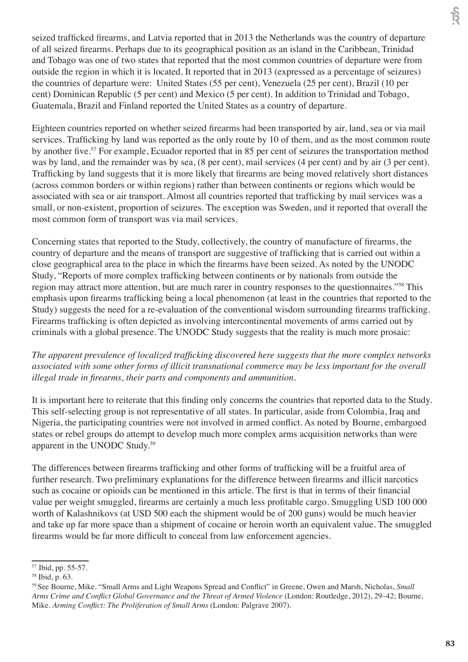seized trafficked firearms, and Latvia reported that in 2013 the Netherlands was the country of departure of all seized firearms. Perhaps due to its geographical position as an island in the Caribbean, Trinidad and Tobago was one of two states that reported that the most common countries of departure were from outside the region in which it is located. It reported that in 2013 (expressed as a percentage of seizures) the countries of departure were: United States (55 per cent), Venezuela (25 per cent), Brazil (10 per cent) Dominican Republic (5 per cent) and Mexico (5 per cent). In addition to Trinidad and Tobago, Guatemala, Brazil and Finland reported the United States as a country of departure.

Eighteen countries reported on whether seized firearms had been transported by air, land, sea or via mail services. Trafficking by land was reported as the only route by 10 of them, and as the most common route by another five.<sup>57</sup> For example, Ecuador reported that in 85 per cent of seizures the transportation method was by land, and the remainder was by sea, (8 per cent), mail services (4 per cent) and by air (3 per cent). Trafficking by land suggests that it is more likely that firearms are being moved relatively short distances (across common borders or within regions) rather than between continents or regions which would be associated with sea or air transport. Almost all countries reported that trafficking by mail services was a small, or non-existent, proportion of seizures. The exception was Sweden, and it reported that overall the most common form of transport was via mail services.

Concerning states that reported to the Study, collectively, the country of manufacture of firearms, the country of departure and the means of transport are suggestive of trafficking that is carried out within a close geographical area to the place in which the firearms have been seized. As noted by the UNODC Study, "Reports of more complex trafficking between continents or by nationals from outside the region may attract more attention, but are much rarer in country responses to the questionnaires."58 This emphasis upon firearms trafficking being a local phenomenon (at least in the countries that reported to the Study) suggests the need for a re-evaluation of the conventional wisdom surrounding firearms trafficking. Firearms trafficking is often depicted as involving intercontinental movements of arms carried out by criminals with a global presence. The UNODC Study suggests that the reality is much more prosaic:

*The apparent prevalence of localized trafficking discovered here suggests that the more complex networks associated with some other forms of illicit transnational commerce may be less important for the overall illegal trade in firearms, their parts and components and ammunition.*

It is important here to reiterate that this finding only concerns the countries that reported data to the Study. This self-selecting group is not representative of all states. In particular, aside from Colombia, Iraq and Nigeria, the participating countries were not involved in armed conflict. As noted by Bourne, embargoed states or rebel groups do attempt to develop much more complex arms acquisition networks than were apparent in the UNODC Study.59

The differences between firearms trafficking and other forms of trafficking will be a fruitful area of further research. Two preliminary explanations for the difference between firearms and illicit narcotics such as cocaine or opioids can be mentioned in this article. The first is that in terms of their financial value per weight smuggled, firearms are certainly a much less profitable cargo. Smuggling USD 100 000 worth of Kalashnikovs (at USD 500 each the shipment would be of 200 guns) would be much heavier and take up far more space than a shipment of cocaine or heroin worth an equivalent value. The smuggled firearms would be far more difficult to conceal from law enforcement agencies.

<sup>57</sup> Ibid, pp. 55-57.

<sup>58</sup> Ibid, p. 63.

<sup>59</sup> See Bourne, Mike. "Small Arms and Light Weapons Spread and Conflict" in Greene, Owen and Marsh, Nicholas, *Small Arms Crime and Conflict Global Governance and the Threat of Armed Violence* (London: Routledge, 2012), 29–42; Bourne, Mike. *Arming Conflict: The Proliferation of Small Arms* (London: Palgrave 2007).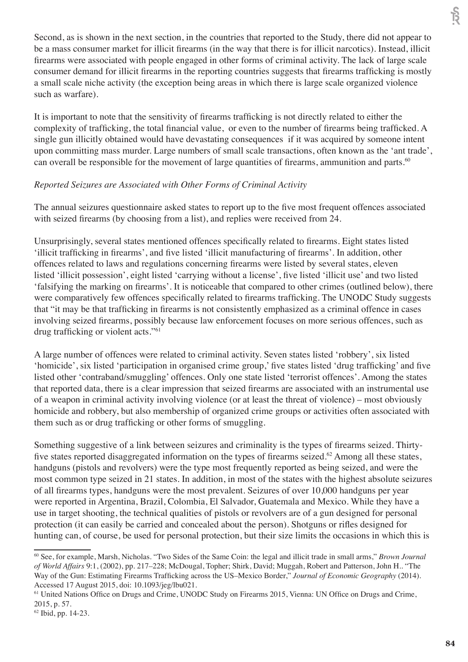Second, as is shown in the next section, in the countries that reported to the Study, there did not appear to be a mass consumer market for illicit firearms (in the way that there is for illicit narcotics). Instead, illicit firearms were associated with people engaged in other forms of criminal activity. The lack of large scale consumer demand for illicit firearms in the reporting countries suggests that firearms trafficking is mostly a small scale niche activity (the exception being areas in which there is large scale organized violence such as warfare).

It is important to note that the sensitivity of firearms trafficking is not directly related to either the complexity of trafficking, the total financial value, or even to the number of firearms being trafficked. A single gun illicitly obtained would have devastating consequences if it was acquired by someone intent upon committing mass murder. Large numbers of small scale transactions, often known as the 'ant trade', can overall be responsible for the movement of large quantities of firearms, ammunition and parts.<sup>60</sup>

## *Reported Seizures are Associated with Other Forms of Criminal Activity*

The annual seizures questionnaire asked states to report up to the five most frequent offences associated with seized firearms (by choosing from a list), and replies were received from 24.

Unsurprisingly, several states mentioned offences specifically related to firearms. Eight states listed 'illicit trafficking in firearms', and five listed 'illicit manufacturing of firearms'. In addition, other offences related to laws and regulations concerning firearms were listed by several states, eleven listed 'illicit possession', eight listed 'carrying without a license', five listed 'illicit use' and two listed 'falsifying the marking on firearms'. It is noticeable that compared to other crimes (outlined below), there were comparatively few offences specifically related to firearms trafficking. The UNODC Study suggests that "it may be that trafficking in firearms is not consistently emphasized as a criminal offence in cases involving seized firearms, possibly because law enforcement focuses on more serious offences, such as drug trafficking or violent acts."<sup>61</sup>

A large number of offences were related to criminal activity. Seven states listed 'robbery', six listed 'homicide', six listed 'participation in organised crime group,' five states listed 'drug trafficking' and five listed other 'contraband/smuggling' offences. Only one state listed 'terrorist offences'. Among the states that reported data, there is a clear impression that seized firearms are associated with an instrumental use of a weapon in criminal activity involving violence (or at least the threat of violence) – most obviously homicide and robbery, but also membership of organized crime groups or activities often associated with them such as or drug trafficking or other forms of smuggling.

Something suggestive of a link between seizures and criminality is the types of firearms seized. Thirtyfive states reported disaggregated information on the types of firearms seized.<sup>62</sup> Among all these states, handguns (pistols and revolvers) were the type most frequently reported as being seized, and were the most common type seized in 21 states. In addition, in most of the states with the highest absolute seizures of all firearms types, handguns were the most prevalent. Seizures of over 10,000 handguns per year were reported in Argentina, Brazil, Colombia, El Salvador, Guatemala and Mexico. While they have a use in target shooting, the technical qualities of pistols or revolvers are of a gun designed for personal protection (it can easily be carried and concealed about the person). Shotguns or rifles designed for hunting can, of course, be used for personal protection, but their size limits the occasions in which this is

<sup>60</sup> See, for example, Marsh, Nicholas. "Two Sides of the Same Coin: the legal and illicit trade in small arms," *Brown Journal of World Affairs* 9:1, (2002), pp. 217–228; McDougal, Topher; Shirk, David; Muggah, Robert and Patterson, John H.. "The Way of the Gun: Estimating Firearms Trafficking across the US–Mexico Border," *Journal of Economic Geography* (2014). Accessed 17 August 2015, doi: 10.1093/jeg/lbu021.

<sup>61</sup> United Nations Office on Drugs and Crime, UNODC Study on Firearms 2015, Vienna: UN Office on Drugs and Crime, 2015, p. 57.

<sup>62</sup> Ibid, pp. 14-23.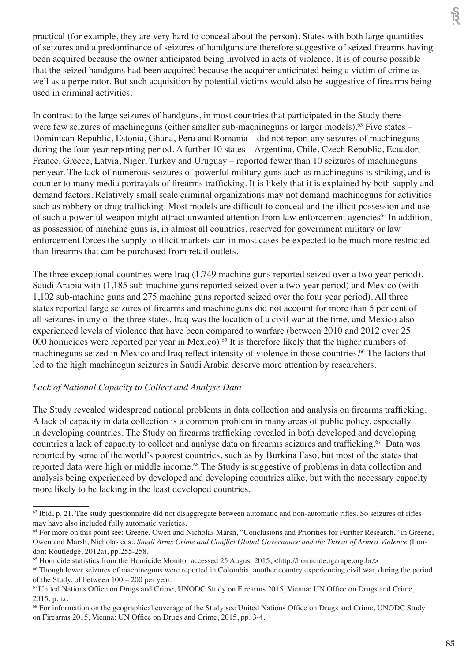practical (for example, they are very hard to conceal about the person). States with both large quantities of seizures and a predominance of seizures of handguns are therefore suggestive of seized firearms having been acquired because the owner anticipated being involved in acts of violence. It is of course possible that the seized handguns had been acquired because the acquirer anticipated being a victim of crime as well as a perpetrator. But such acquisition by potential victims would also be suggestive of firearms being used in criminal activities.

In contrast to the large seizures of handguns, in most countries that participated in the Study there were few seizures of machineguns (either smaller sub-machineguns or larger models).<sup>63</sup> Five states – Dominican Republic, Estonia, Ghana, Peru and Romania – did not report any seizures of machineguns during the four-year reporting period. A further 10 states – Argentina, Chile, Czech Republic, Ecuador, France, Greece, Latvia, Niger, Turkey and Uruguay – reported fewer than 10 seizures of machineguns per year. The lack of numerous seizures of powerful military guns such as machineguns is striking, and is counter to many media portrayals of firearms trafficking. It is likely that it is explained by both supply and demand factors. Relatively small scale criminal organizations may not demand machineguns for activities such as robbery or drug trafficking. Most models are difficult to conceal and the illicit possession and use of such a powerful weapon might attract unwanted attention from law enforcement agencies<sup>64</sup> In addition, as possession of machine guns is, in almost all countries, reserved for government military or law enforcement forces the supply to illicit markets can in most cases be expected to be much more restricted than firearms that can be purchased from retail outlets.

The three exceptional countries were Iraq (1,749 machine guns reported seized over a two year period), Saudi Arabia with (1,185 sub-machine guns reported seized over a two-year period) and Mexico (with 1,102 sub-machine guns and 275 machine guns reported seized over the four year period). All three states reported large seizures of firearms and machineguns did not account for more than 5 per cent of all seizures in any of the three states. Iraq was the location of a civil war at the time, and Mexico also experienced levels of violence that have been compared to warfare (between 2010 and 2012 over 25 000 homicides were reported per year in Mexico).<sup>65</sup> It is therefore likely that the higher numbers of machineguns seized in Mexico and Iraq reflect intensity of violence in those countries.<sup>66</sup> The factors that led to the high machinegun seizures in Saudi Arabia deserve more attention by researchers.

## *Lack of National Capacity to Collect and Analyse Data*

The Study revealed widespread national problems in data collection and analysis on firearms trafficking. A lack of capacity in data collection is a common problem in many areas of public policy, especially in developing countries. The Study on firearms trafficking revealed in both developed and developing countries a lack of capacity to collect and analyse data on firearms seizures and trafficking.<sup>67</sup> Data was reported by some of the world's poorest countries, such as by Burkina Faso, but most of the states that reported data were high or middle income.<sup>68</sup> The Study is suggestive of problems in data collection and analysis being experienced by developed and developing countries alike, but with the necessary capacity more likely to be lacking in the least developed countries.

हि

<sup>&</sup>lt;sup>63</sup> Ibid, p. 21. The study questionnaire did not disaggregate between automatic and non-automatic rifles. So seizures of rifles may have also included fully automatic varieties.

<sup>64</sup> For more on this point see: Greene, Owen and Nicholas Marsh, "Conclusions and Priorities for Further Research," in Greene, Owen and Marsh, Nicholas eds., *Small Arms Crime and Conflict Global Governance and the Threat of Armed Violence* (London: Routledge, 2012a), pp.255-258.

<sup>65</sup> Homicide statistics from the Homicide Monitor accessed 25 August 2015, <http://homicide.igarape.org.br/>

<sup>&</sup>lt;sup>66</sup> Though lower seizures of machineguns were reported in Colombia, another country experiencing civil war, during the period of the Study, of between 100 – 200 per year.

<sup>&</sup>lt;sup>67</sup> United Nations Office on Drugs and Crime, UNODC Study on Firearms 2015, Vienna: UN Office on Drugs and Crime, 2015, p. ix.

<sup>&</sup>lt;sup>68</sup> For information on the geographical coverage of the Study see United Nations Office on Drugs and Crime, UNODC Study on Firearms 2015, Vienna: UN Office on Drugs and Crime, 2015, pp. 3-4.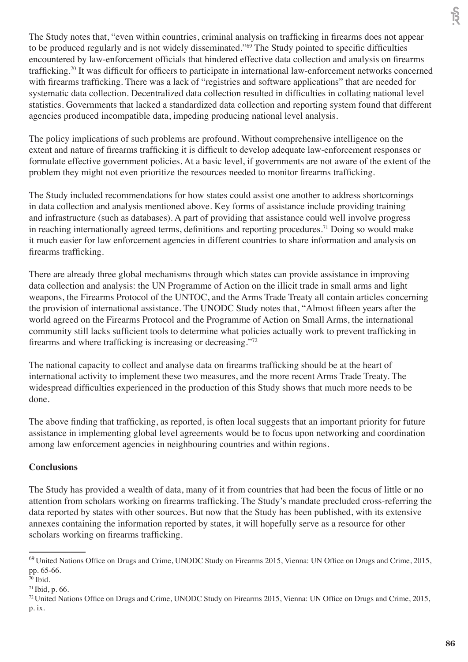The Study notes that, "even within countries, criminal analysis on trafficking in firearms does not appear to be produced regularly and is not widely disseminated."<sup>69</sup> The Study pointed to specific difficulties encountered by law-enforcement officials that hindered effective data collection and analysis on firearms trafficking.<sup>70</sup> It was difficult for officers to participate in international law-enforcement networks concerned with firearms trafficking. There was a lack of "registries and software applications" that are needed for systematic data collection. Decentralized data collection resulted in difficulties in collating national level statistics. Governments that lacked a standardized data collection and reporting system found that different agencies produced incompatible data, impeding producing national level analysis.

The policy implications of such problems are profound. Without comprehensive intelligence on the extent and nature of firearms trafficking it is difficult to develop adequate law-enforcement responses or formulate effective government policies. At a basic level, if governments are not aware of the extent of the problem they might not even prioritize the resources needed to monitor firearms trafficking.

The Study included recommendations for how states could assist one another to address shortcomings in data collection and analysis mentioned above. Key forms of assistance include providing training and infrastructure (such as databases). A part of providing that assistance could well involve progress in reaching internationally agreed terms, definitions and reporting procedures.<sup>71</sup> Doing so would make it much easier for law enforcement agencies in different countries to share information and analysis on firearms trafficking.

There are already three global mechanisms through which states can provide assistance in improving data collection and analysis: the UN Programme of Action on the illicit trade in small arms and light weapons, the Firearms Protocol of the UNTOC, and the Arms Trade Treaty all contain articles concerning the provision of international assistance. The UNODC Study notes that, "Almost fifteen years after the world agreed on the Firearms Protocol and the Programme of Action on Small Arms, the international community still lacks sufficient tools to determine what policies actually work to prevent trafficking in firearms and where trafficking is increasing or decreasing."<sup>72</sup>

The national capacity to collect and analyse data on firearms trafficking should be at the heart of international activity to implement these two measures, and the more recent Arms Trade Treaty. The widespread difficulties experienced in the production of this Study shows that much more needs to be done.

The above finding that trafficking, as reported, is often local suggests that an important priority for future assistance in implementing global level agreements would be to focus upon networking and coordination among law enforcement agencies in neighbouring countries and within regions.

## **Conclusions**

The Study has provided a wealth of data, many of it from countries that had been the focus of little or no attention from scholars working on firearms trafficking. The Study's mandate precluded cross-referring the data reported by states with other sources. But now that the Study has been published, with its extensive annexes containing the information reported by states, it will hopefully serve as a resource for other scholars working on firearms trafficking.

हि

<sup>&</sup>lt;sup>69</sup> United Nations Office on Drugs and Crime, UNODC Study on Firearms 2015, Vienna: UN Office on Drugs and Crime, 2015, pp. 65-66.

<sup>70</sup> Ibid.

<sup>71</sup>Ibid, p. 66.

<sup>&</sup>lt;sup>72</sup> United Nations Office on Drugs and Crime, UNODC Study on Firearms 2015, Vienna: UN Office on Drugs and Crime, 2015, p. ix.